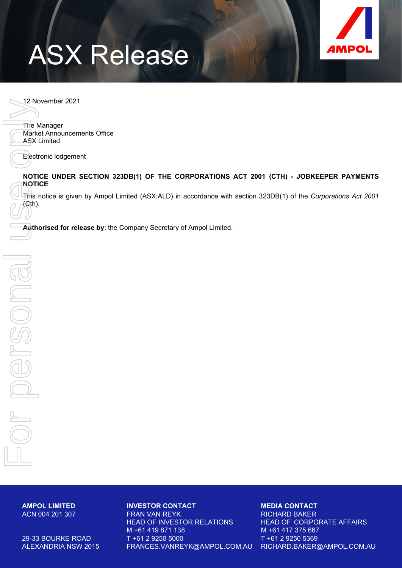# ASX Release



12 November 2021

The Manager Market Announcements Office ASX Limited For personal use only

Electronic lodgement

#### **NOTICE UNDER SECTION 323DB(1) OF THE CORPORATIONS ACT 2001 (CTH) - JOBKEEPER PAYMENTS NOTICE**

This notice is given by Ampol Limited (ASX:ALD) in accordance with section 323DB(1) of the *Corporations Act 2001* (Cth).

**Authorised for release by**: the Company Secretary of Ampol Limited.

ACN 004 201 307 **AMPOL LIMITED**

persona

ALEXANDRIA NSW 2015 29-33 BOURKE ROAD

#### **INVESTOR CONTACT**

FRAN VAN REYK M +61 419 871 138 HEAD OF INVESTOR RELATIONS T +61 2 9250 5000 FRANCES.VANREYK@AMPOL.COM.AU RICHARD.BAKER@AMPOL.COM.AU

#### **MEDIA CONTACT**

HEAD OF CORPORATE AFFAIRS T +61 2 9250 5369 M +61 417 375 667 RICHARD BAKER